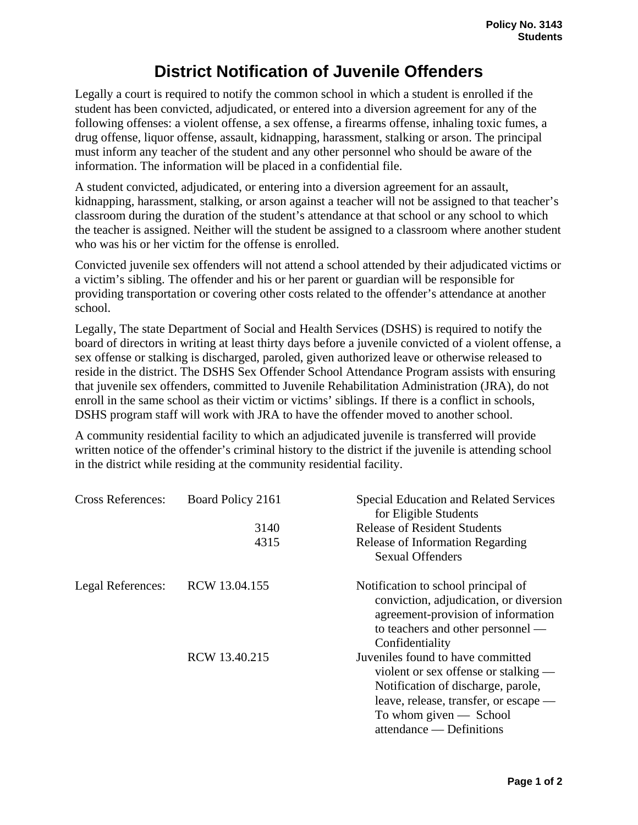## **District Notification of Juvenile Offenders**

Legally a court is required to notify the common school in which a student is enrolled if the student has been convicted, adjudicated, or entered into a diversion agreement for any of the following offenses: a violent offense, a sex offense, a firearms offense, inhaling toxic fumes, a drug offense, liquor offense, assault, kidnapping, harassment, stalking or arson. The principal must inform any teacher of the student and any other personnel who should be aware of the information. The information will be placed in a confidential file.

A student convicted, adjudicated, or entering into a diversion agreement for an assault, kidnapping, harassment, stalking, or arson against a teacher will not be assigned to that teacher's classroom during the duration of the student's attendance at that school or any school to which the teacher is assigned. Neither will the student be assigned to a classroom where another student who was his or her victim for the offense is enrolled.

Convicted juvenile sex offenders will not attend a school attended by their adjudicated victims or a victim's sibling. The offender and his or her parent or guardian will be responsible for providing transportation or covering other costs related to the offender's attendance at another school.

Legally, The state Department of Social and Health Services (DSHS) is required to notify the board of directors in writing at least thirty days before a juvenile convicted of a violent offense, a sex offense or stalking is discharged, paroled, given authorized leave or otherwise released to reside in the district. The DSHS Sex Offender School Attendance Program assists with ensuring that juvenile sex offenders, committed to Juvenile Rehabilitation Administration (JRA), do not enroll in the same school as their victim or victims' siblings. If there is a conflict in schools, DSHS program staff will work with JRA to have the offender moved to another school.

A community residential facility to which an adjudicated juvenile is transferred will provide written notice of the offender's criminal history to the district if the juvenile is attending school in the district while residing at the community residential facility.

| <b>Cross References:</b> | Board Policy 2161 | <b>Special Education and Related Services</b><br>for Eligible Students       |
|--------------------------|-------------------|------------------------------------------------------------------------------|
|                          | 3140              | <b>Release of Resident Students</b>                                          |
|                          | 4315              | Release of Information Regarding                                             |
|                          |                   | <b>Sexual Offenders</b>                                                      |
| Legal References:        | RCW 13.04.155     | Notification to school principal of                                          |
|                          |                   | conviction, adjudication, or diversion<br>agreement-provision of information |
|                          |                   | to teachers and other personnel —                                            |
|                          |                   | Confidentiality                                                              |
|                          | RCW 13.40.215     | Juveniles found to have committed                                            |
|                          |                   | violent or sex offense or stalking —                                         |
|                          |                   | Notification of discharge, parole,                                           |
|                          |                   | leave, release, transfer, or escape —                                        |
|                          |                   | To whom given $-$ School                                                     |
|                          |                   | attendance — Definitions                                                     |